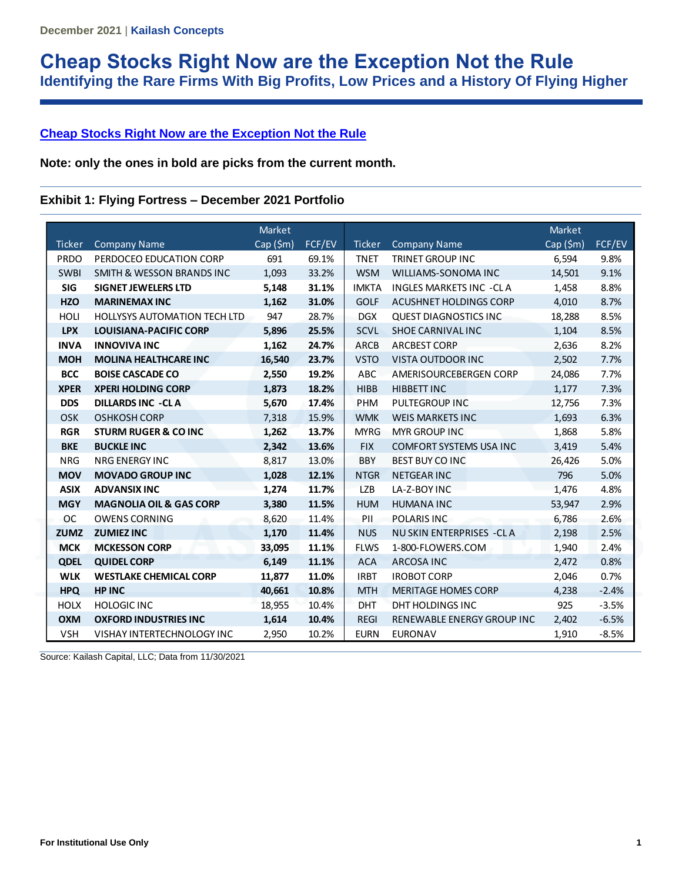# **Cheap Stocks Right Now are the Exception Not the Rule Identifying the Rare Firms With Big Profits, Low Prices and a History Of Flying Higher**

## **Cheap Stocks Right Now are the Exception Not the Rule**

**Note: only the ones in bold are picks from the current month.** 

### **Exhibit 1: Flying Fortress – December 2021 Portfolio**

|               |                                      | <b>Market</b>  |        |               |                                  | Market    |         |
|---------------|--------------------------------------|----------------|--------|---------------|----------------------------------|-----------|---------|
| <b>Ticker</b> | <b>Company Name</b>                  | $Cap($ \$m $)$ | FCF/EV | <b>Ticker</b> | <b>Company Name</b>              | Cap (\$m) | FCF/EV  |
| <b>PRDO</b>   | PERDOCEO EDUCATION CORP              | 691            | 69.1%  | <b>TNET</b>   | <b>TRINET GROUP INC</b>          | 6,594     | 9.8%    |
| <b>SWBI</b>   | <b>SMITH &amp; WESSON BRANDS INC</b> | 1,093          | 33.2%  | <b>WSM</b>    | WILLIAMS-SONOMA INC              | 14,501    | 9.1%    |
| <b>SIG</b>    | <b>SIGNET JEWELERS LTD</b>           | 5,148          | 31.1%  | <b>IMKTA</b>  | <b>INGLES MARKETS INC -CLA</b>   | 1,458     | 8.8%    |
| <b>HZO</b>    | <b>MARINEMAX INC</b>                 | 1,162          | 31.0%  | <b>GOLF</b>   | ACUSHNET HOLDINGS CORP           | 4,010     | 8.7%    |
| <b>HOLI</b>   | <b>HOLLYSYS AUTOMATION TECH LTD</b>  | 947            | 28.7%  | <b>DGX</b>    | <b>QUEST DIAGNOSTICS INC</b>     | 18,288    | 8.5%    |
| <b>LPX</b>    | <b>LOUISIANA-PACIFIC CORP</b>        | 5,896          | 25.5%  | <b>SCVL</b>   | SHOE CARNIVAL INC                | 1,104     | 8.5%    |
| <b>INVA</b>   | <b>INNOVIVA INC</b>                  | 1,162          | 24.7%  | <b>ARCB</b>   | <b>ARCBEST CORP</b>              | 2,636     | 8.2%    |
| <b>MOH</b>    | <b>MOLINA HEALTHCARE INC</b>         | 16,540         | 23.7%  | <b>VSTO</b>   | VISTA OUTDOOR INC                | 2,502     | 7.7%    |
| <b>BCC</b>    | <b>BOISE CASCADE CO</b>              | 2,550          | 19.2%  | <b>ABC</b>    | AMERISOURCEBERGEN CORP           | 24,086    | 7.7%    |
| <b>XPER</b>   | <b>XPERI HOLDING CORP</b>            | 1,873          | 18.2%  | <b>HIBB</b>   | HIBBETT INC                      | 1,177     | 7.3%    |
| <b>DDS</b>    | <b>DILLARDS INC -CLA</b>             | 5,670          | 17.4%  | PHM           | <b>PULTEGROUP INC</b>            | 12,756    | 7.3%    |
| <b>OSK</b>    | <b>OSHKOSH CORP</b>                  | 7,318          | 15.9%  | <b>WMK</b>    | <b>WEIS MARKETS INC</b>          | 1,693     | 6.3%    |
| <b>RGR</b>    | <b>STURM RUGER &amp; CO INC</b>      | 1,262          | 13.7%  | <b>MYRG</b>   | <b>MYR GROUP INC</b>             | 1,868     | 5.8%    |
| <b>BKE</b>    | <b>BUCKLE INC</b>                    | 2,342          | 13.6%  | <b>FIX</b>    | <b>COMFORT SYSTEMS USA INC</b>   | 3,419     | 5.4%    |
| <b>NRG</b>    | <b>NRG ENERGY INC</b>                | 8,817          | 13.0%  | <b>BBY</b>    | <b>BEST BUY CO INC</b>           | 26,426    | 5.0%    |
| <b>MOV</b>    | <b>MOVADO GROUP INC</b>              | 1,028          | 12.1%  | <b>NTGR</b>   | <b>NETGEAR INC</b>               | 796       | 5.0%    |
| <b>ASIX</b>   | <b>ADVANSIX INC</b>                  | 1,274          | 11.7%  | <b>LZB</b>    | LA-Z-BOY INC                     | 1,476     | 4.8%    |
| <b>MGY</b>    | <b>MAGNOLIA OIL &amp; GAS CORP</b>   | 3,380          | 11.5%  | <b>HUM</b>    | <b>HUMANA INC</b>                | 53,947    | 2.9%    |
| ОC            | <b>OWENS CORNING</b>                 | 8,620          | 11.4%  | PII           | POLARIS INC                      | 6,786     | 2.6%    |
| <b>ZUMZ</b>   | <b>ZUMIEZ INC</b>                    | 1,170          | 11.4%  | <b>NUS</b>    | <b>NU SKIN ENTERPRISES - CLA</b> | 2,198     | 2.5%    |
| <b>MCK</b>    | <b>MCKESSON CORP</b>                 | 33,095         | 11.1%  | <b>FLWS</b>   | 1-800-FLOWERS.COM                | 1,940     | 2.4%    |
| <b>QDEL</b>   | <b>QUIDEL CORP</b>                   | 6,149          | 11.1%  | <b>ACA</b>    | <b>ARCOSA INC</b>                | 2,472     | 0.8%    |
| <b>WLK</b>    | <b>WESTLAKE CHEMICAL CORP</b>        | 11,877         | 11.0%  | <b>IRBT</b>   | <b>IROBOT CORP</b>               | 2,046     | 0.7%    |
| <b>HPQ</b>    | <b>HP INC</b>                        | 40,661         | 10.8%  | <b>MTH</b>    | <b>MERITAGE HOMES CORP</b>       | 4,238     | $-2.4%$ |
| <b>HOLX</b>   | <b>HOLOGIC INC</b>                   | 18,955         | 10.4%  | <b>DHT</b>    | DHT HOLDINGS INC                 | 925       | $-3.5%$ |
| <b>OXM</b>    | <b>OXFORD INDUSTRIES INC</b>         | 1,614          | 10.4%  | <b>REGI</b>   | RENEWABLE ENERGY GROUP INC       | 2,402     | $-6.5%$ |
| <b>VSH</b>    | VISHAY INTERTECHNOLOGY INC           | 2,950          | 10.2%  | <b>EURN</b>   | <b>EURONAV</b>                   | 1.910     | $-8.5%$ |

Source: Kailash Capital, LLC; Data from 11/30/2021